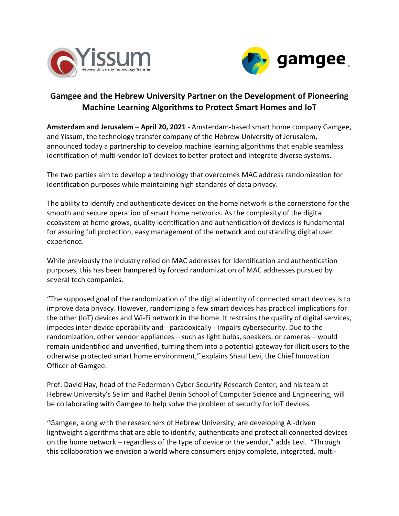



## **Gamgee and the Hebrew University Partner on the Development of Pioneering Machine Learning Algorithms to Protect Smart Homes and IoT**

**Amsterdam and Jerusalem – April 20, 2021** - Amsterdam-based smart home company Gamgee, and Yissum, the technology transfer company of the Hebrew University of Jerusalem, announced today a partnership to develop machine learning algorithms that enable seamless identification of multi-vendor IoT devices to better protect and integrate diverse systems.

The two parties aim to develop a technology that overcomes MAC address randomization for identification purposes while maintaining high standards of data privacy.

The ability to identify and authenticate devices on the home network is the cornerstone for the smooth and secure operation of smart home networks. As the complexity of the digital ecosystem at home grows, quality identification and authentication of devices is fundamental for assuring full protection, easy management of the network and outstanding digital user experience.

While previously the industry relied on MAC addresses for identification and authentication purposes, this has been hampered by forced randomization of MAC addresses pursued by several tech companies.

"The supposed goal of the randomization of the digital identity of connected smart devices is to improve data privacy. However, randomizing a few smart devices has practical implications for the other (IoT) devices and Wi-Fi network in the home. It restrains the quality of digital services, impedes inter-device operability and - paradoxically - impairs cybersecurity. Due to the randomization, other vendor appliances – such as light bulbs, speakers, or cameras – would remain unidentified and unverified, turning them into a potential gateway for illicit users to the otherwise protected smart home environment," explains Shaul Levi, the Chief Innovation Officer of Gamgee.

Prof. David Hay, head of the Federmann Cyber Security Research Center, and his team at Hebrew University's Selim and Rachel Benin School of Computer Science and Engineering, will be collaborating with Gamgee to help solve the problem of security for IoT devices.

"Gamgee, along with the researchers of Hebrew University, are developing AI-driven lightweight algorithms that are able to identify, authenticate and protect all connected devices on the home network – regardless of the type of device or the vendor," adds Levi. "Through this collaboration we envision a world where consumers enjoy complete, integrated, multi